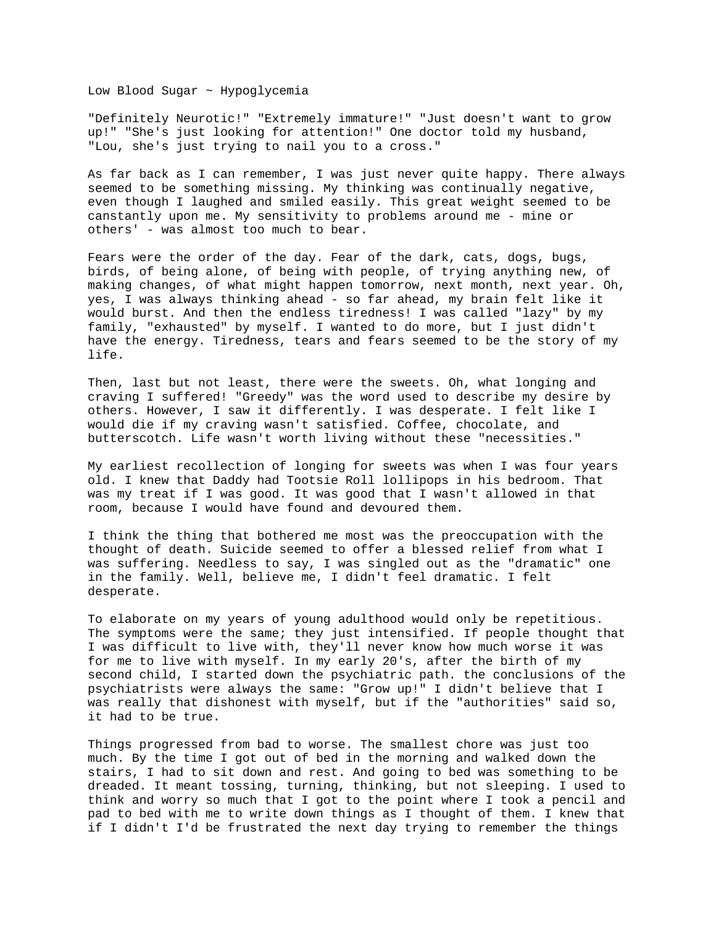Low Blood Sugar ~ Hypoglycemia

"Definitely Neurotic!" "Extremely immature!" "Just doesn't want to grow up!" "She's just looking for attention!" One doctor told my husband, "Lou, she's just trying to nail you to a cross."

As far back as I can remember, I was just never quite happy. There always seemed to be something missing. My thinking was continually negative, even though I laughed and smiled easily. This great weight seemed to be canstantly upon me. My sensitivity to problems around me - mine or others' - was almost too much to bear.

Fears were the order of the day. Fear of the dark, cats, dogs, bugs, birds, of being alone, of being with people, of trying anything new, of making changes, of what might happen tomorrow, next month, next year. Oh, yes, I was always thinking ahead - so far ahead, my brain felt like it would burst. And then the endless tiredness! I was called "lazy" by my family, "exhausted" by myself. I wanted to do more, but I just didn't have the energy. Tiredness, tears and fears seemed to be the story of my life.

Then, last but not least, there were the sweets. Oh, what longing and craving I suffered! "Greedy" was the word used to describe my desire by others. However, I saw it differently. I was desperate. I felt like I would die if my craving wasn't satisfied. Coffee, chocolate, and butterscotch. Life wasn't worth living without these "necessities."

My earliest recollection of longing for sweets was when I was four years old. I knew that Daddy had Tootsie Roll lollipops in his bedroom. That was my treat if I was good. It was good that I wasn't allowed in that room, because I would have found and devoured them.

I think the thing that bothered me most was the preoccupation with the thought of death. Suicide seemed to offer a blessed relief from what I was suffering. Needless to say, I was singled out as the "dramatic" one in the family. Well, believe me, I didn't feel dramatic. I felt desperate.

To elaborate on my years of young adulthood would only be repetitious. The symptoms were the same; they just intensified. If people thought that I was difficult to live with, they'll never know how much worse it was for me to live with myself. In my early 20's, after the birth of my second child, I started down the psychiatric path. the conclusions of the psychiatrists were always the same: "Grow up!" I didn't believe that I was really that dishonest with myself, but if the "authorities" said so, it had to be true.

Things progressed from bad to worse. The smallest chore was just too much. By the time I got out of bed in the morning and walked down the stairs, I had to sit down and rest. And going to bed was something to be dreaded. It meant tossing, turning, thinking, but not sleeping. I used to think and worry so much that I got to the point where I took a pencil and pad to bed with me to write down things as I thought of them. I knew that if I didn't I'd be frustrated the next day trying to remember the things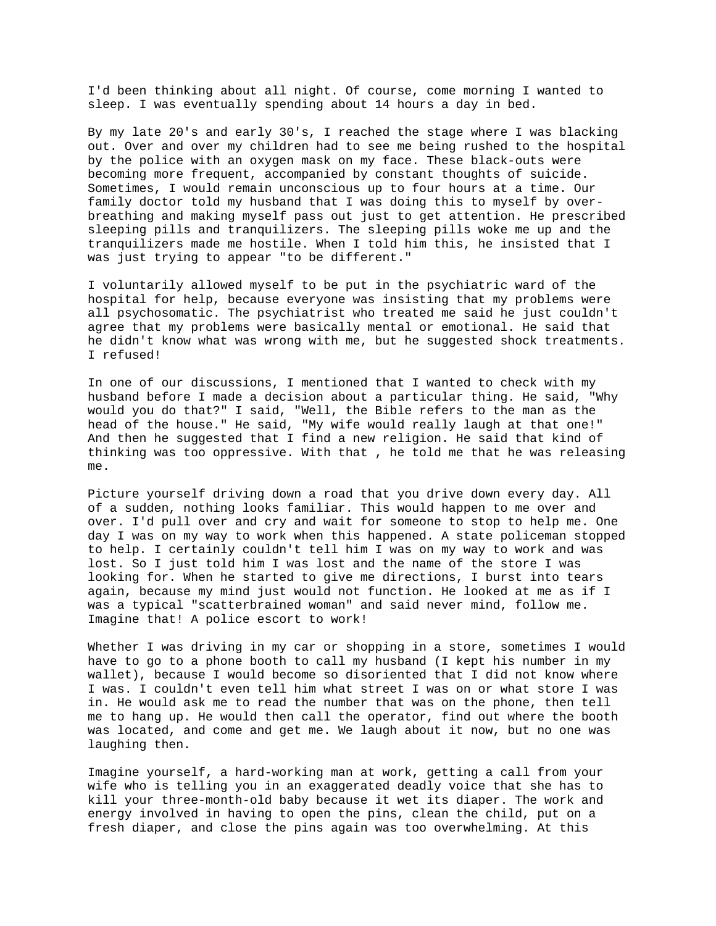I'd been thinking about all night. Of course, come morning I wanted to sleep. I was eventually spending about 14 hours a day in bed.

By my late 20's and early 30's, I reached the stage where I was blacking out. Over and over my children had to see me being rushed to the hospital by the police with an oxygen mask on my face. These black-outs were becoming more frequent, accompanied by constant thoughts of suicide. Sometimes, I would remain unconscious up to four hours at a time. Our family doctor told my husband that I was doing this to myself by overbreathing and making myself pass out just to get attention. He prescribed sleeping pills and tranquilizers. The sleeping pills woke me up and the tranquilizers made me hostile. When I told him this, he insisted that I was just trying to appear "to be different."

I voluntarily allowed myself to be put in the psychiatric ward of the hospital for help, because everyone was insisting that my problems were all psychosomatic. The psychiatrist who treated me said he just couldn't agree that my problems were basically mental or emotional. He said that he didn't know what was wrong with me, but he suggested shock treatments. I refused!

In one of our discussions, I mentioned that I wanted to check with my husband before I made a decision about a particular thing. He said, "Why would you do that?" I said, "Well, the Bible refers to the man as the head of the house." He said, "My wife would really laugh at that one!" And then he suggested that I find a new religion. He said that kind of thinking was too oppressive. With that , he told me that he was releasing me.

Picture yourself driving down a road that you drive down every day. All of a sudden, nothing looks familiar. This would happen to me over and over. I'd pull over and cry and wait for someone to stop to help me. One day I was on my way to work when this happened. A state policeman stopped to help. I certainly couldn't tell him I was on my way to work and was lost. So I just told him I was lost and the name of the store I was looking for. When he started to give me directions, I burst into tears again, because my mind just would not function. He looked at me as if I was a typical "scatterbrained woman" and said never mind, follow me. Imagine that! A police escort to work!

Whether I was driving in my car or shopping in a store, sometimes I would have to go to a phone booth to call my husband (I kept his number in my wallet), because I would become so disoriented that I did not know where I was. I couldn't even tell him what street I was on or what store I was in. He would ask me to read the number that was on the phone, then tell me to hang up. He would then call the operator, find out where the booth was located, and come and get me. We laugh about it now, but no one was laughing then.

Imagine yourself, a hard-working man at work, getting a call from your wife who is telling you in an exaggerated deadly voice that she has to kill your three-month-old baby because it wet its diaper. The work and energy involved in having to open the pins, clean the child, put on a fresh diaper, and close the pins again was too overwhelming. At this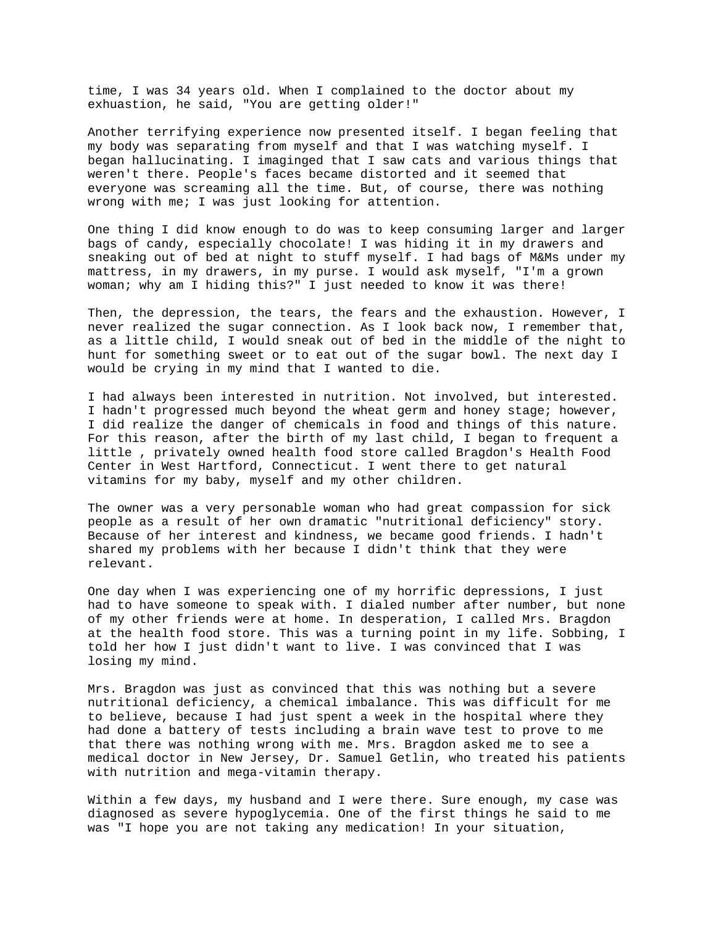time, I was 34 years old. When I complained to the doctor about my exhuastion, he said, "You are getting older!"

Another terrifying experience now presented itself. I began feeling that my body was separating from myself and that I was watching myself. I began hallucinating. I imaginged that I saw cats and various things that weren't there. People's faces became distorted and it seemed that everyone was screaming all the time. But, of course, there was nothing wrong with me; I was just looking for attention.

One thing I did know enough to do was to keep consuming larger and larger bags of candy, especially chocolate! I was hiding it in my drawers and sneaking out of bed at night to stuff myself. I had bags of M&Ms under my mattress, in my drawers, in my purse. I would ask myself, "I'm a grown woman; why am I hiding this?" I just needed to know it was there!

Then, the depression, the tears, the fears and the exhaustion. However, I never realized the sugar connection. As I look back now, I remember that, as a little child, I would sneak out of bed in the middle of the night to hunt for something sweet or to eat out of the sugar bowl. The next day I would be crying in my mind that I wanted to die.

I had always been interested in nutrition. Not involved, but interested. I hadn't progressed much beyond the wheat germ and honey stage; however, I did realize the danger of chemicals in food and things of this nature. For this reason, after the birth of my last child, I began to frequent a little , privately owned health food store called Bragdon's Health Food Center in West Hartford, Connecticut. I went there to get natural vitamins for my baby, myself and my other children.

The owner was a very personable woman who had great compassion for sick people as a result of her own dramatic "nutritional deficiency" story. Because of her interest and kindness, we became good friends. I hadn't shared my problems with her because I didn't think that they were relevant.

One day when I was experiencing one of my horrific depressions, I just had to have someone to speak with. I dialed number after number, but none of my other friends were at home. In desperation, I called Mrs. Bragdon at the health food store. This was a turning point in my life. Sobbing, I told her how I just didn't want to live. I was convinced that I was losing my mind.

Mrs. Bragdon was just as convinced that this was nothing but a severe nutritional deficiency, a chemical imbalance. This was difficult for me to believe, because I had just spent a week in the hospital where they had done a battery of tests including a brain wave test to prove to me that there was nothing wrong with me. Mrs. Bragdon asked me to see a medical doctor in New Jersey, Dr. Samuel Getlin, who treated his patients with nutrition and mega-vitamin therapy.

Within a few days, my husband and I were there. Sure enough, my case was diagnosed as severe hypoglycemia. One of the first things he said to me was "I hope you are not taking any medication! In your situation,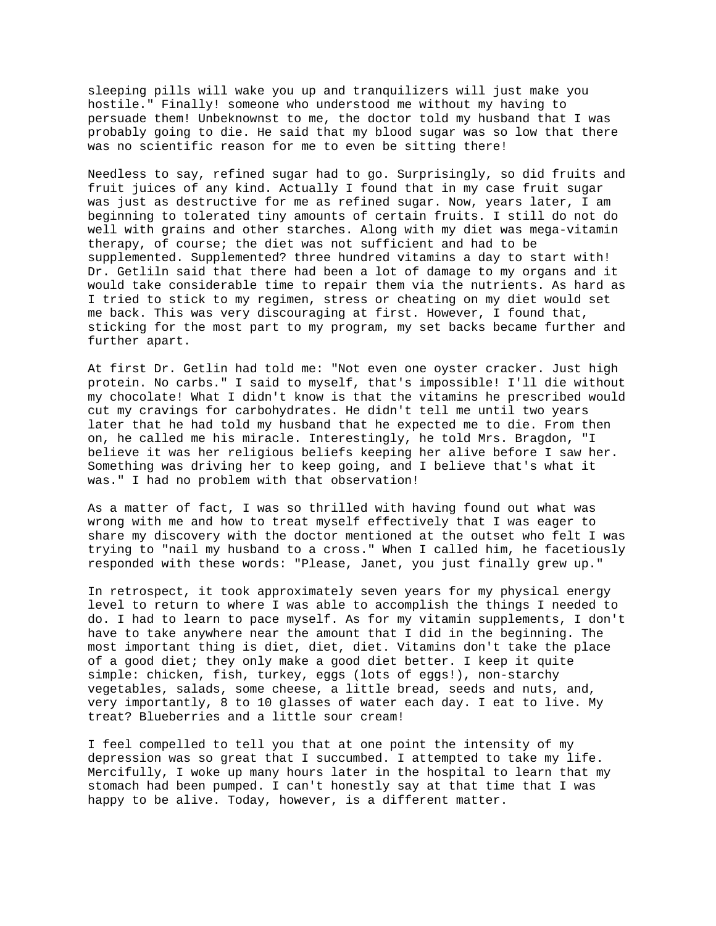sleeping pills will wake you up and tranquilizers will just make you hostile." Finally! someone who understood me without my having to persuade them! Unbeknownst to me, the doctor told my husband that I was probably going to die. He said that my blood sugar was so low that there was no scientific reason for me to even be sitting there!

Needless to say, refined sugar had to go. Surprisingly, so did fruits and fruit juices of any kind. Actually I found that in my case fruit sugar was just as destructive for me as refined sugar. Now, years later, I am beginning to tolerated tiny amounts of certain fruits. I still do not do well with grains and other starches. Along with my diet was mega-vitamin therapy, of course; the diet was not sufficient and had to be supplemented. Supplemented? three hundred vitamins a day to start with! Dr. Getliln said that there had been a lot of damage to my organs and it would take considerable time to repair them via the nutrients. As hard as I tried to stick to my regimen, stress or cheating on my diet would set me back. This was very discouraging at first. However, I found that, sticking for the most part to my program, my set backs became further and further apart.

At first Dr. Getlin had told me: "Not even one oyster cracker. Just high protein. No carbs." I said to myself, that's impossible! I'll die without my chocolate! What I didn't know is that the vitamins he prescribed would cut my cravings for carbohydrates. He didn't tell me until two years later that he had told my husband that he expected me to die. From then on, he called me his miracle. Interestingly, he told Mrs. Bragdon, "I believe it was her religious beliefs keeping her alive before I saw her. Something was driving her to keep going, and I believe that's what it was." I had no problem with that observation!

As a matter of fact, I was so thrilled with having found out what was wrong with me and how to treat myself effectively that I was eager to share my discovery with the doctor mentioned at the outset who felt I was trying to "nail my husband to a cross." When I called him, he facetiously responded with these words: "Please, Janet, you just finally grew up."

In retrospect, it took approximately seven years for my physical energy level to return to where I was able to accomplish the things I needed to do. I had to learn to pace myself. As for my vitamin supplements, I don't have to take anywhere near the amount that I did in the beginning. The most important thing is diet, diet, diet. Vitamins don't take the place of a good diet; they only make a good diet better. I keep it quite simple: chicken, fish, turkey, eggs (lots of eggs!), non-starchy vegetables, salads, some cheese, a little bread, seeds and nuts, and, very importantly, 8 to 10 glasses of water each day. I eat to live. My treat? Blueberries and a little sour cream!

I feel compelled to tell you that at one point the intensity of my depression was so great that I succumbed. I attempted to take my life. Mercifully, I woke up many hours later in the hospital to learn that my stomach had been pumped. I can't honestly say at that time that I was happy to be alive. Today, however, is a different matter.